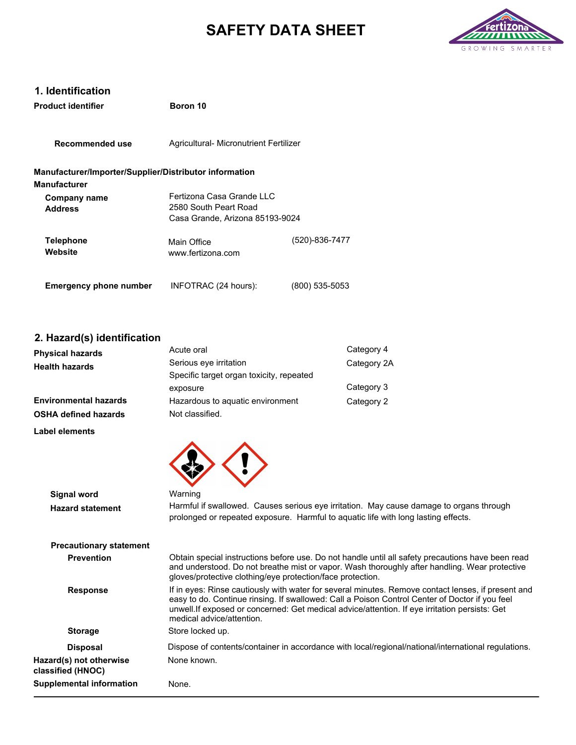# **SAFETY DATA SHEET**



# **1. Identification**

| <b>Product identifier</b>                                                     | Boron 10                                                                                |                |
|-------------------------------------------------------------------------------|-----------------------------------------------------------------------------------------|----------------|
| Recommended use                                                               | Agricultural- Micronutrient Fertilizer                                                  |                |
| Manufacturer/Importer/Supplier/Distributor information<br><b>Manufacturer</b> |                                                                                         |                |
| Company name<br><b>Address</b>                                                | Fertizona Casa Grande I I C<br>2580 South Peart Road<br>Casa Grande, Arizona 85193-9024 |                |
| Telephone<br>Website                                                          | Main Office<br>www.fertizona.com                                                        | (520)-836-7477 |
| <b>Emergency phone number</b>                                                 | INFOTRAC (24 hours):                                                                    | (800) 535-5053 |

## **2. Hazard(s) identification**

| <b>Physical hazards</b> | Acute oral                               | Category 4  |
|-------------------------|------------------------------------------|-------------|
| Health hazards          | Serious eye irritation                   | Category 2A |
|                         | Specific target organ toxicity, repeated |             |
|                         | exposure                                 | Category 3  |
| Environmental hazards   | Hazardous to aquatic environment         | Category 2  |
| OSHA defined hazards    | Not classified.                          |             |

**Label elements**

| <b>Signal word</b>                           | Warning                                                                                                                                                                                                                                                                                                                             |
|----------------------------------------------|-------------------------------------------------------------------------------------------------------------------------------------------------------------------------------------------------------------------------------------------------------------------------------------------------------------------------------------|
| <b>Hazard statement</b>                      | Harmful if swallowed. Causes serious eye irritation. May cause damage to organs through<br>prolonged or repeated exposure. Harmful to aquatic life with long lasting effects.                                                                                                                                                       |
| <b>Precautionary statement</b>               |                                                                                                                                                                                                                                                                                                                                     |
| <b>Prevention</b>                            | Obtain special instructions before use. Do not handle until all safety precautions have been read<br>and understood. Do not breathe mist or vapor. Wash thoroughly after handling. Wear protective<br>gloves/protective clothing/eye protection/face protection.                                                                    |
| <b>Response</b>                              | If in eyes: Rinse cautiously with water for several minutes. Remove contact lenses, if present and<br>easy to do. Continue rinsing. If swallowed: Call a Poison Control Center of Doctor if you feel<br>unwell. If exposed or concerned: Get medical advice/attention. If eye irritation persists: Get<br>medical advice/attention. |
| <b>Storage</b>                               | Store locked up.                                                                                                                                                                                                                                                                                                                    |
| <b>Disposal</b>                              | Dispose of contents/container in accordance with local/regional/national/international regulations.                                                                                                                                                                                                                                 |
| Hazard(s) not otherwise<br>classified (HNOC) | None known.                                                                                                                                                                                                                                                                                                                         |
| <b>Supplemental information</b>              | None.                                                                                                                                                                                                                                                                                                                               |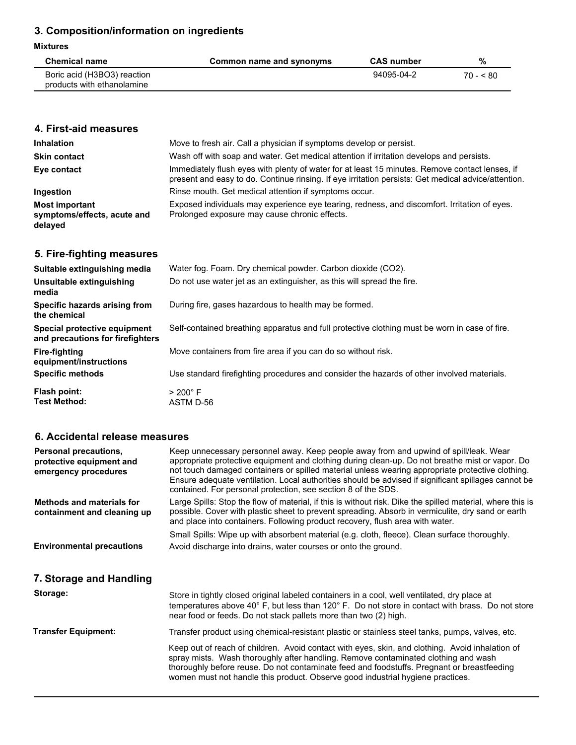# **3. Composition/information on ingredients**

#### **Mixtures**

| <b>Chemical name</b>        | Common name and synonyms | <b>CAS number</b> | %         |
|-----------------------------|--------------------------|-------------------|-----------|
| Boric acid (H3BO3) reaction |                          | 94095-04-2        | $70 - 80$ |
| products with ethanolamine  |                          |                   |           |

## **4. First-aid measures**

| <b>Inhalation</b>                                               | Move to fresh air. Call a physician if symptoms develop or persist.                                                                                                                                   |
|-----------------------------------------------------------------|-------------------------------------------------------------------------------------------------------------------------------------------------------------------------------------------------------|
| <b>Skin contact</b>                                             | Wash off with soap and water. Get medical attention if irritation develops and persists.                                                                                                              |
| Eye contact                                                     | Immediately flush eyes with plenty of water for at least 15 minutes. Remove contact lenses, if<br>present and easy to do. Continue rinsing. If eye irritation persists: Get medical advice/attention. |
| Ingestion                                                       | Rinse mouth. Get medical attention if symptoms occur.                                                                                                                                                 |
| <b>Most important</b><br>symptoms/effects, acute and<br>delayed | Exposed individuals may experience eye tearing, redness, and discomfort. Irritation of eyes.<br>Prolonged exposure may cause chronic effects.                                                         |

## **5. Fire-fighting measures**

| Suitable extinguishing media                                     | Water fog. Foam. Dry chemical powder. Carbon dioxide (CO2).                                   |
|------------------------------------------------------------------|-----------------------------------------------------------------------------------------------|
| Unsuitable extinguishing<br>media                                | Do not use water jet as an extinguisher, as this will spread the fire.                        |
| Specific hazards arising from<br>the chemical                    | During fire, gases hazardous to health may be formed.                                         |
| Special protective equipment<br>and precautions for firefighters | Self-contained breathing apparatus and full protective clothing must be worn in case of fire. |
| <b>Fire-fighting</b><br>equipment/instructions                   | Move containers from fire area if you can do so without risk.                                 |
| <b>Specific methods</b>                                          | Use standard firefighting procedures and consider the hazards of other involved materials.    |
| Flash point:                                                     | $>200^{\circ}$ F                                                                              |
| <b>Test Method:</b>                                              | ASTM D-56                                                                                     |

## **6. Accidental release measures**

| Personal precautions,<br>protective equipment and<br>emergency procedures | Keep unnecessary personnel away. Keep people away from and upwind of spill/leak. Wear<br>appropriate protective equipment and clothing during clean-up. Do not breathe mist or vapor. Do<br>not touch damaged containers or spilled material unless wearing appropriate protective clothing.<br>Ensure adequate ventilation. Local authorities should be advised if significant spillages cannot be<br>contained. For personal protection, see section 8 of the SDS. |
|---------------------------------------------------------------------------|----------------------------------------------------------------------------------------------------------------------------------------------------------------------------------------------------------------------------------------------------------------------------------------------------------------------------------------------------------------------------------------------------------------------------------------------------------------------|
| Methods and materials for<br>containment and cleaning up                  | Large Spills: Stop the flow of material, if this is without risk. Dike the spilled material, where this is<br>possible. Cover with plastic sheet to prevent spreading. Absorb in vermiculite, dry sand or earth<br>and place into containers. Following product recovery, flush area with water.                                                                                                                                                                     |
| <b>Environmental precautions</b>                                          | Small Spills: Wipe up with absorbent material (e.g. cloth, fleece). Clean surface thoroughly.<br>Avoid discharge into drains, water courses or onto the ground.                                                                                                                                                                                                                                                                                                      |
| 7. Storage and Handling                                                   |                                                                                                                                                                                                                                                                                                                                                                                                                                                                      |
| Storage:                                                                  | Store in tightly closed original labeled containers in a cool, well ventilated, dry place at<br>temperatures above 40° F, but less than 120° F. Do not store in contact with brass. Do not store<br>near food or feeds. Do not stack pallets more than two (2) high.                                                                                                                                                                                                 |
| <b>Transfer Equipment:</b>                                                | Transfer product using chemical-resistant plastic or stainless steel tanks, pumps, valves, etc.                                                                                                                                                                                                                                                                                                                                                                      |
|                                                                           | Keep out of reach of children. Avoid contact with eyes, skin, and clothing. Avoid inhalation of<br>spray mists. Wash thoroughly after handling. Remove contaminated clothing and wash<br>thoroughly before reuse. Do not contaminate feed and foodstuffs. Pregnant or breastfeeding                                                                                                                                                                                  |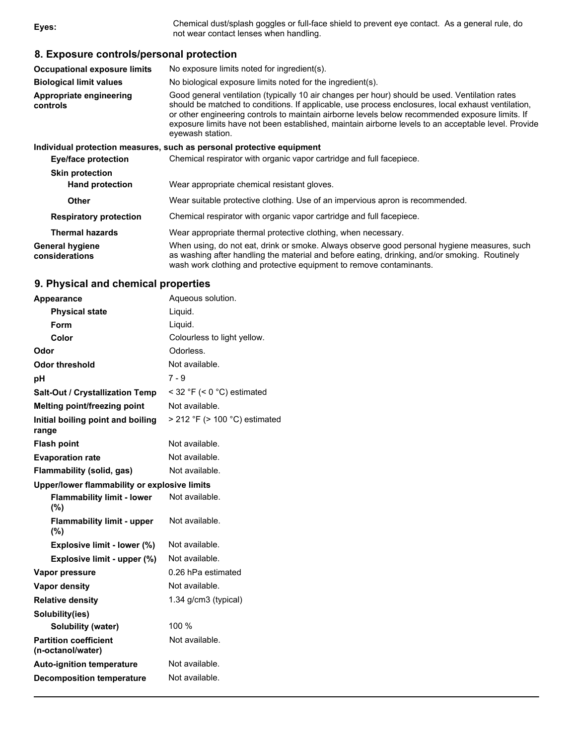**8. Exposure controls/personal protection Occupational exposure limits** No exposure limits noted for ingredient(s). **Biological limit values** No biological exposure limits noted for the ingredient(s). **Appropriate engineering controls** Good general ventilation (typically 10 air changes per hour) should be used. Ventilation rates should be matched to conditions. If applicable, use process enclosures, local exhaust ventilation, or other engineering controls to maintain airborne levels below recommended exposure limits. If exposure limits have not been established, maintain airborne levels to an acceptable level. Provide eyewash station. **Individual protection measures, such as personal protective equipment Eye/face protection** Chemical respirator with organic vapor cartridge and full facepiece. **Skin protection Hand protection** Wear appropriate chemical resistant gloves. **Other** Wear suitable protective clothing. Use of an impervious apron is recommended. **Respiratory protection** Chemical respirator with organic vapor cartridge and full facepiece. **Thermal hazards** Wear appropriate thermal protective clothing, when necessary. **General hygiene considerations** When using, do not eat, drink or smoke. Always observe good personal hygiene measures, such as washing after handling the material and before eating, drinking, and/or smoking. Routinely wash work clothing and protective equipment to remove contaminants. **Eyes:** Chemical dust/splash goggles or full-face shield to prevent eye contact. As a general rule, do not wear contact lenses when handling.

### **9. Physical and chemical properties**

| Appearance                                        | Aqueous solution.                  |
|---------------------------------------------------|------------------------------------|
| <b>Physical state</b>                             | Liguid.                            |
| Form                                              | Liquid.                            |
| Color                                             | Colourless to light yellow.        |
| Odor                                              | Odorless.                          |
| <b>Odor threshold</b>                             | Not available.                     |
| рH                                                | $7 - 9$                            |
| <b>Salt-Out / Crystallization Temp</b>            | < 32 °F (< 0 °C) estimated         |
| Melting point/freezing point                      | Not available.                     |
| Initial boiling point and boiling<br>range        | $>$ 212 °F ( $>$ 100 °C) estimated |
| <b>Flash point</b>                                | Not available.                     |
| <b>Evaporation rate</b>                           | Not available.                     |
| Flammability (solid, gas)                         | Not available.                     |
| Upper/lower flammability or explosive limits      |                                    |
| <b>Flammability limit - lower</b><br>(%)          | Not available.                     |
| <b>Flammability limit - upper</b><br>(%)          | Not available.                     |
| Explosive limit - lower (%)                       | Not available.                     |
| Explosive limit - upper (%)                       | Not available.                     |
| Vapor pressure                                    | 0.26 hPa estimated                 |
| <b>Vapor density</b>                              | Not available.                     |
| <b>Relative density</b>                           | 1.34 g/cm3 (typical)               |
| Solubility(ies)                                   |                                    |
| Solubility (water)                                | 100 %                              |
| <b>Partition coefficient</b><br>(n-octanol/water) | Not available.                     |
| <b>Auto-ignition temperature</b>                  | Not available.                     |
| <b>Decomposition temperature</b>                  | Not available.                     |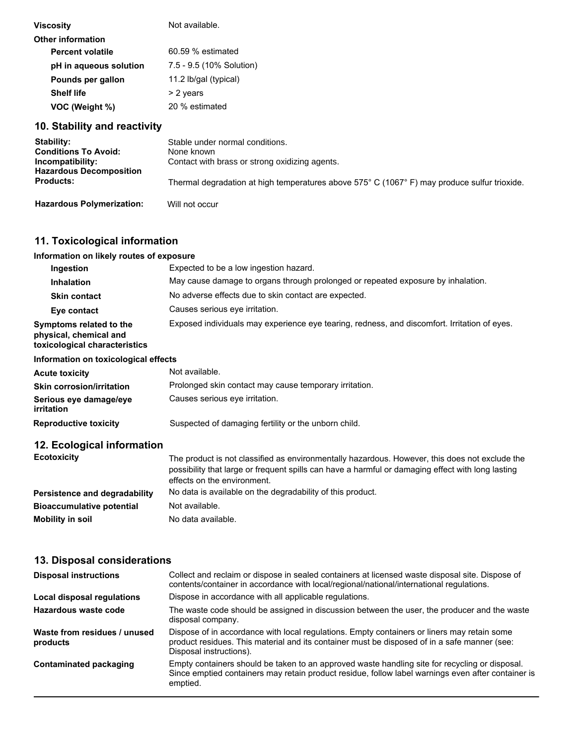| Viscosity                | Not available.           |
|--------------------------|--------------------------|
| <b>Other information</b> |                          |
| <b>Percent volatile</b>  | 60.59 % estimated        |
| pH in aqueous solution   | 7.5 - 9.5 (10% Solution) |
| Pounds per gallon        | 11.2 lb/gal (typical)    |
| <b>Shelf life</b>        | > 2 years                |
| VOC (Weight %)           | 20 % estimated           |

## **10. Stability and reactivity**

| <b>Stability:</b><br><b>Conditions To Avoid:</b><br>Incompatibility: | Stable under normal conditions.<br>None known<br>Contact with brass or strong oxidizing agents.                 |
|----------------------------------------------------------------------|-----------------------------------------------------------------------------------------------------------------|
| <b>Hazardous Decomposition</b><br><b>Products:</b>                   | Thermal degradation at high temperatures above $575^{\circ}$ C (1067 $^{\circ}$ F) may produce sulfur trioxide. |
| <b>Hazardous Polymerization:</b>                                     | Will not occur                                                                                                  |

**Hazardous Polymerization:** 

## **11. Toxicological information**

# **Information on likely routes of exposure**

| Ingestion                                                                          | Expected to be a low ingestion hazard.                                                       |
|------------------------------------------------------------------------------------|----------------------------------------------------------------------------------------------|
| <b>Inhalation</b>                                                                  | May cause damage to organs through prolonged or repeated exposure by inhalation.             |
| <b>Skin contact</b>                                                                | No adverse effects due to skin contact are expected.                                         |
| Eye contact                                                                        | Causes serious eye irritation.                                                               |
| Symptoms related to the<br>physical, chemical and<br>toxicological characteristics | Exposed individuals may experience eye tearing, redness, and discomfort. Irritation of eyes. |

## **Information on toxicological effects**

| <b>Acute toxicity</b>                | Not available.                                                                                |
|--------------------------------------|-----------------------------------------------------------------------------------------------|
| <b>Skin corrosion/irritation</b>     | Prolonged skin contact may cause temporary irritation.                                        |
| Serious eye damage/eye<br>irritation | Causes serious eye irritation.                                                                |
| <b>Reproductive toxicity</b>         | Suspected of damaging fertility or the unborn child.                                          |
| 12. Ecological information           |                                                                                               |
| <b>Ecotoxicity</b>                   | The product is not classified as environmentally hazardous. However, this does not exclude th |

### The product is not classified as environmentally hazardous. However, this does not exclude the possibility that large or frequent spills can have a harmful or damaging effect with long lasting effects on the environment.

| Persistence and degradability    | No data is available on the degradability of this product. |
|----------------------------------|------------------------------------------------------------|
| <b>Bioaccumulative potential</b> | Not available.                                             |
| Mobility in soil                 | No data available.                                         |

## **13. Disposal considerations**

| <b>Disposal instructions</b>             | Collect and reclaim or dispose in sealed containers at licensed waste disposal site. Dispose of<br>contents/container in accordance with local/regional/national/international regulations.                            |
|------------------------------------------|------------------------------------------------------------------------------------------------------------------------------------------------------------------------------------------------------------------------|
| Local disposal regulations               | Dispose in accordance with all applicable regulations.                                                                                                                                                                 |
| Hazardous waste code                     | The waste code should be assigned in discussion between the user, the producer and the waste<br>disposal company.                                                                                                      |
| Waste from residues / unused<br>products | Dispose of in accordance with local regulations. Empty containers or liners may retain some<br>product residues. This material and its container must be disposed of in a safe manner (see:<br>Disposal instructions). |
| Contaminated packaging                   | Empty containers should be taken to an approved waste handling site for recycling or disposal.<br>Since emptied containers may retain product residue, follow label warnings even after container is<br>emptied.       |